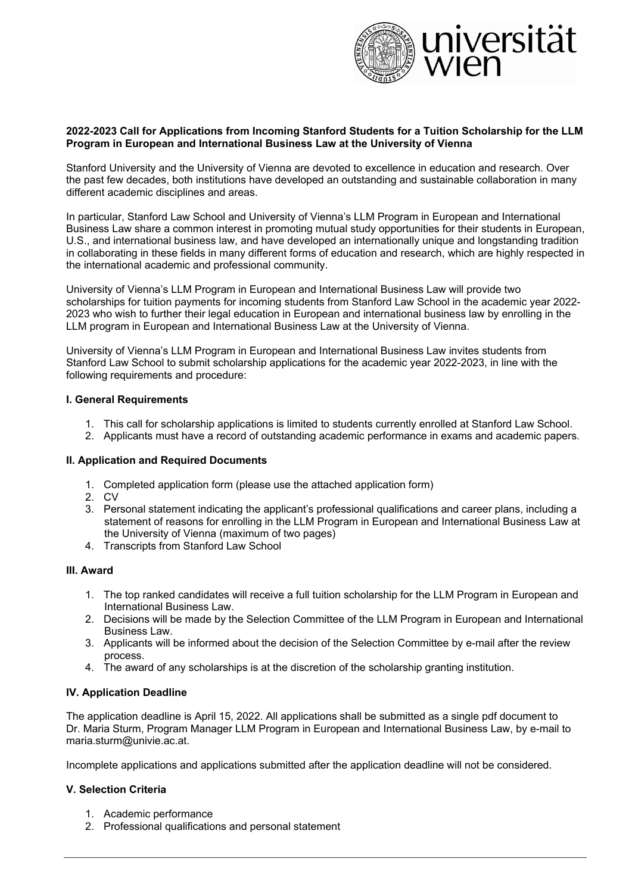

#### **2022-2023 Call for Applications from Incoming Stanford Students for a Tuition Scholarship for the LLM Program in European and International Business Law at the University of Vienna**

Stanford University and the University of Vienna are devoted to excellence in education and research. Over the past few decades, both institutions have developed an outstanding and sustainable collaboration in many different academic disciplines and areas.

In particular, Stanford Law School and University of Vienna's LLM Program in European and International Business Law share a common interest in promoting mutual study opportunities for their students in European, U.S., and international business law, and have developed an internationally unique and longstanding tradition in collaborating in these fields in many different forms of education and research, which are highly respected in the international academic and professional community.

University of Vienna's LLM Program in European and International Business Law will provide two scholarships for tuition payments for incoming students from Stanford Law School in the academic year 2022- 2023 who wish to further their legal education in European and international business law by enrolling in the LLM program in European and International Business Law at the University of Vienna.

University of Vienna's LLM Program in European and International Business Law invites students from Stanford Law School to submit scholarship applications for the academic year 2022-2023, in line with the following requirements and procedure:

#### **I. General Requirements**

- 1. This call for scholarship applications is limited to students currently enrolled at Stanford Law School.
- 2. Applicants must have a record of outstanding academic performance in exams and academic papers.

#### **II. Application and Required Documents**

- 1. Completed application form (please use the attached application form)
- 2. CV
- 3. Personal statement indicating the applicant's professional qualifications and career plans, including a statement of reasons for enrolling in the LLM Program in European and International Business Law at the University of Vienna (maximum of two pages)
- 4. Transcripts from Stanford Law School

#### **III. Award**

- 1. The top ranked candidates will receive a full tuition scholarship for the LLM Program in European and International Business Law.
- 2. Decisions will be made by the Selection Committee of the LLM Program in European and International Business Law.
- 3. Applicants will be informed about the decision of the Selection Committee by e-mail after the review process.
- 4. The award of any scholarships is at the discretion of the scholarship granting institution.

#### **IV. Application Deadline**

The application deadline is April 15, 2022. All applications shall be submitted as a single pdf document to Dr. Maria Sturm, Program Manager LLM Program in European and International Business Law, by e-mail to maria.sturm@univie.ac.at.

Incomplete applications and applications submitted after the application deadline will not be considered.

#### **V. Selection Criteria**

- 1. Academic performance
- 2. Professional qualifications and personal statement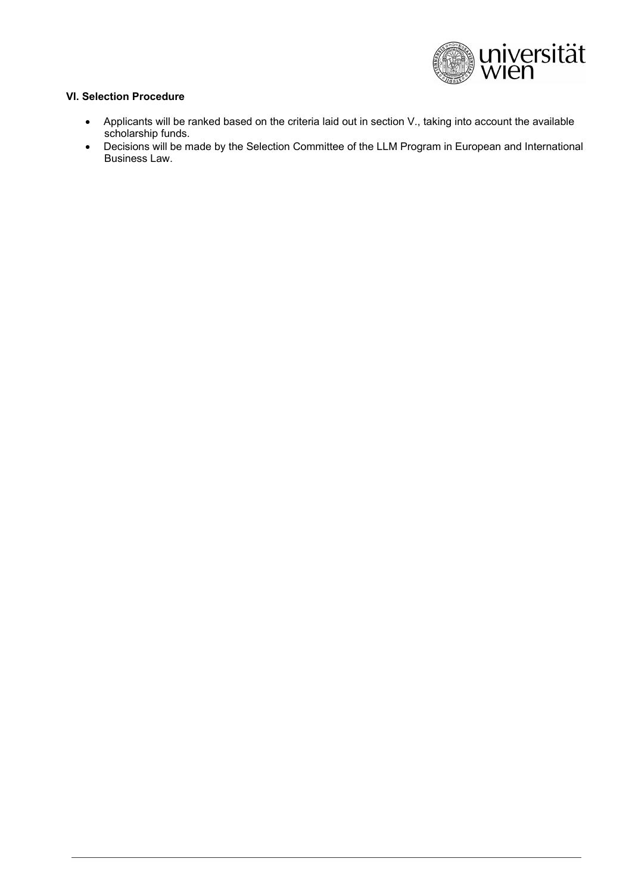

### **VI. Selection Procedure**

- Applicants will be ranked based on the criteria laid out in section V., taking into account the available scholarship funds.
- Decisions will be made by the Selection Committee of the LLM Program in European and International Business Law.